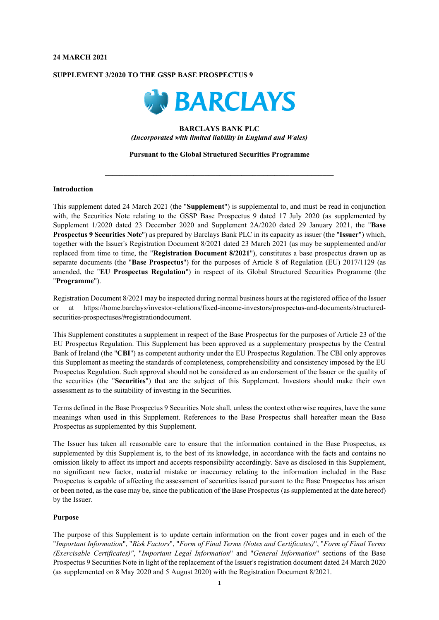#### **24 MARCH 2021**

#### **SUPPLEMENT 3/2020 TO THE GSSP BASE PROSPECTUS 9**



## **BARCLAYS BANK PLC**  *(Incorporated with limited liability in England and Wales)*

#### **Pursuant to the Global Structured Securities Programme**

 $\mathcal{L}_\text{max}$  and the contract of the contract of the contract of the contract of the contract of the contract of

#### **Introduction**

This supplement dated 24 March 2021 (the "**Supplement**") is supplemental to, and must be read in conjunction with, the Securities Note relating to the GSSP Base Prospectus 9 dated 17 July 2020 (as supplemented by Supplement 1/2020 dated 23 December 2020 and Supplement 2A/2020 dated 29 January 2021, the "**Base Prospectus 9 Securities Note**") as prepared by Barclays Bank PLC in its capacity as issuer (the "**Issuer**") which, together with the Issuer's Registration Document 8/2021 dated 23 March 2021 (as may be supplemented and/or replaced from time to time, the "**Registration Document 8/2021**"), constitutes a base prospectus drawn up as separate documents (the "**Base Prospectus**") for the purposes of Article 8 of Regulation (EU) 2017/1129 (as amended, the "**EU Prospectus Regulation**") in respect of its Global Structured Securities Programme (the "**Programme**").

Registration Document 8/2021 may be inspected during normal business hours at the registered office of the Issuer or at https://home.barclays/investor-relations/fixed-income-investors/prospectus-and-documents/structuredsecurities-prospectuses/#registrationdocument.

This Supplement constitutes a supplement in respect of the Base Prospectus for the purposes of Article 23 of the EU Prospectus Regulation. This Supplement has been approved as a supplementary prospectus by the Central Bank of Ireland (the "**CBI**") as competent authority under the EU Prospectus Regulation. The CBI only approves this Supplement as meeting the standards of completeness, comprehensibility and consistency imposed by the EU Prospectus Regulation. Such approval should not be considered as an endorsement of the Issuer or the quality of the securities (the "**Securities**") that are the subject of this Supplement. Investors should make their own assessment as to the suitability of investing in the Securities.

Terms defined in the Base Prospectus 9 Securities Note shall, unless the context otherwise requires, have the same meanings when used in this Supplement. References to the Base Prospectus shall hereafter mean the Base Prospectus as supplemented by this Supplement.

The Issuer has taken all reasonable care to ensure that the information contained in the Base Prospectus, as supplemented by this Supplement is, to the best of its knowledge, in accordance with the facts and contains no omission likely to affect its import and accepts responsibility accordingly. Save as disclosed in this Supplement, no significant new factor, material mistake or inaccuracy relating to the information included in the Base Prospectus is capable of affecting the assessment of securities issued pursuant to the Base Prospectus has arisen or been noted, as the case may be, since the publication of the Base Prospectus (as supplemented at the date hereof) by the Issuer.

#### **Purpose**

The purpose of this Supplement is to update certain information on the front cover pages and in each of the "*Important Information*", "*Risk Factors*", "*Form of Final Terms (Notes and Certificates)*", "*Form of Final Terms (Exercisable Certificates)"*, "*Important Legal Information*" and "*General Information*" sections of the Base Prospectus 9 Securities Note in light of the replacement of the Issuer's registration document dated 24 March 2020 (as supplemented on 8 May 2020 and 5 August 2020) with the Registration Document 8/2021.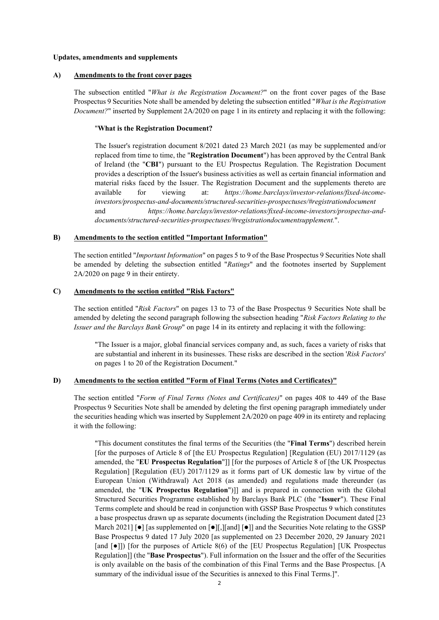#### **Updates, amendments and supplements**

#### **A) Amendments to the front cover pages**

The subsection entitled "*What is the Registration Document?*" on the front cover pages of the Base Prospectus 9 Securities Note shall be amended by deleting the subsection entitled "*What is the Registration Document?*" inserted by Supplement 2A/2020 on page 1 in its entirety and replacing it with the following:

#### "**What is the Registration Document?**

The Issuer's registration document 8/2021 dated 23 March 2021 (as may be supplemented and/or replaced from time to time, the "**Registration Document**") has been approved by the Central Bank of Ireland (the "**CBI**") pursuant to the EU Prospectus Regulation. The Registration Document provides a description of the Issuer's business activities as well as certain financial information and material risks faced by the Issuer. The Registration Document and the supplements thereto are available for viewing at: *https://home.barclays/investor-relations/fixed-incomeinvestors/prospectus-and-documents/structured-securities-prospectuses/#registrationdocument* and *https://home.barclays/investor-relations/fixed-income-investors/prospectus-anddocuments/structured-securities-prospectuses/#registrationdocumentsupplement.*".

#### **B) Amendments to the section entitled "Important Information"**

The section entitled "*Important Information*" on pages 5 to 9 of the Base Prospectus 9 Securities Note shall be amended by deleting the subsection entitled "*Ratings*" and the footnotes inserted by Supplement 2A/2020 on page 9 in their entirety.

### **C) Amendments to the section entitled "Risk Factors"**

The section entitled "*Risk Factors*" on pages 13 to 73 of the Base Prospectus 9 Securities Note shall be amended by deleting the second paragraph following the subsection heading "*Risk Factors Relating to the Issuer and the Barclays Bank Group*" on page 14 in its entirety and replacing it with the following:

"The Issuer is a major, global financial services company and, as such, faces a variety of risks that are substantial and inherent in its businesses. These risks are described in the section '*Risk Factors*' on pages 1 to 20 of the Registration Document."

# **D) Amendments to the section entitled "Form of Final Terms (Notes and Certificates)"**

The section entitled "*Form of Final Terms (Notes and Certificates)*" on pages 408 to 449 of the Base Prospectus 9 Securities Note shall be amended by deleting the first opening paragraph immediately under the securities heading which was inserted by Supplement 2A/2020 on page 409 in its entirety and replacing it with the following:

"This document constitutes the final terms of the Securities (the "**Final Terms**") described herein [for the purposes of Article 8 of [the EU Prospectus Regulation] [Regulation (EU) 2017/1129 (as amended, the "**EU Prospectus Regulation**"]] [for the purposes of Article 8 of [the UK Prospectus Regulation] [Regulation (EU) 2017/1129 as it forms part of UK domestic law by virtue of the European Union (Withdrawal) Act 2018 (as amended) and regulations made thereunder (as amended, the "**UK Prospectus Regulation**")]] and is prepared in connection with the Global Structured Securities Programme established by Barclays Bank PLC (the "**Issuer**"). These Final Terms complete and should be read in conjunction with GSSP Base Prospectus 9 which constitutes a base prospectus drawn up as separate documents (including the Registration Document dated [23 March 2021]  $\lceil \bullet \rceil$  [as supplemented on  $\lceil \bullet \rceil$ , [[and]  $\lceil \bullet \rceil$ ] and the Securities Note relating to the GSSP Base Prospectus 9 dated 17 July 2020 [as supplemented on 23 December 2020, 29 January 2021 [and [●]]) [for the purposes of Article 8(6) of the [EU Prospectus Regulation] [UK Prospectus Regulation]] (the "**Base Prospectus**"). Full information on the Issuer and the offer of the Securities is only available on the basis of the combination of this Final Terms and the Base Prospectus. [A summary of the individual issue of the Securities is annexed to this Final Terms.]".